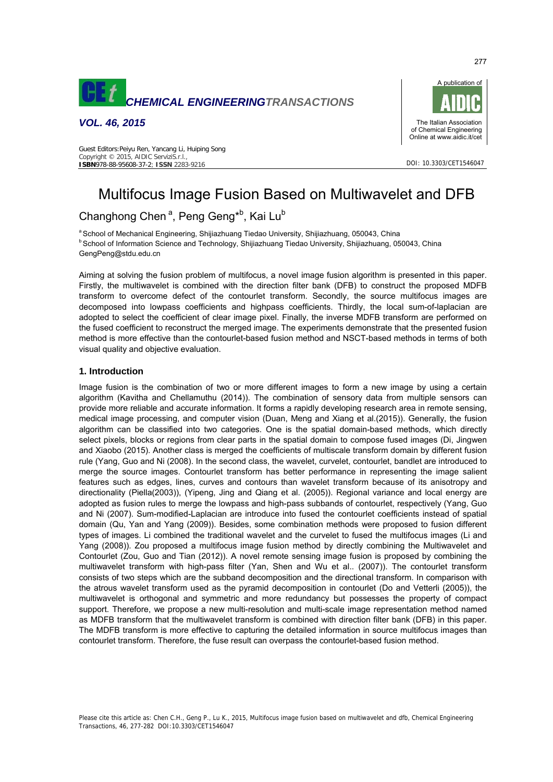

*VOL. 46, 2015* 



DOI: 10.3303/CET1546047

# Multifocus Image Fusion Based on Multiwavelet and DFB

# Changhong Chen<sup>a</sup>, Peng Geng<sup>\*b</sup>, Kai Lu<sup>b</sup>

Guest Editors:Peiyu Ren, Yancang Li, Huiping Song

Copyright © 2015, AIDIC ServiziS.r.l., **ISBN**978-88-95608-37-2; **ISSN** 2283-9216

<sup>a</sup> School of Mechanical Engineering, Shijiazhuang Tiedao University, Shijiazhuang, 050043, China b School of Information Science and Technology, Shijiazhuang Tiedao University, Shijiazhuang, 050043, China GengPeng@stdu.edu.cn

Aiming at solving the fusion problem of multifocus, a novel image fusion algorithm is presented in this paper. Firstly, the multiwavelet is combined with the direction filter bank (DFB) to construct the proposed MDFB transform to overcome defect of the contourlet transform. Secondly, the source multifocus images are decomposed into lowpass coefficients and highpass coefficients. Thirdly, the local sum-of-laplacian are adopted to select the coefficient of clear image pixel. Finally, the inverse MDFB transform are performed on the fused coefficient to reconstruct the merged image. The experiments demonstrate that the presented fusion method is more effective than the contourlet-based fusion method and NSCT-based methods in terms of both visual quality and objective evaluation.

## **1. Introduction**

Image fusion is the combination of two or more different images to form a new image by using a certain algorithm (Kavitha and Chellamuthu (2014)). The combination of sensory data from multiple sensors can provide more reliable and accurate information. It forms a rapidly developing research area in remote sensing, medical image processing, and computer vision (Duan, Meng and Xiang et al.(2015)). Generally, the fusion algorithm can be classified into two categories. One is the spatial domain-based methods, which directly select pixels, blocks or regions from clear parts in the spatial domain to compose fused images (Di, Jingwen and Xiaobo (2015). Another class is merged the coefficients of multiscale transform domain by different fusion rule (Yang, Guo and Ni (2008). In the second class, the wavelet, curvelet, contourlet, bandlet are introduced to merge the source images. Contourlet transform has better performance in representing the image salient features such as edges, lines, curves and contours than wavelet transform because of its anisotropy and directionality (Piella(2003)), (Yipeng, Jing and Qiang et al. (2005)). Regional variance and local energy are adopted as fusion rules to merge the lowpass and high-pass subbands of contourlet, respectively (Yang, Guo and Ni (2007). Sum-modified-Laplacian are introduce into fused the contourlet coefficients instead of spatial domain (Qu, Yan and Yang (2009)). Besides, some combination methods were proposed to fusion different types of images. Li combined the traditional wavelet and the curvelet to fused the multifocus images (Li and Yang (2008)). Zou proposed a multifocus image fusion method by directly combining the Multiwavelet and Contourlet (Zou, Guo and Tian (2012)). A novel remote sensing image fusion is proposed by combining the multiwavelet transform with high-pass filter (Yan, Shen and Wu et al.. (2007)). The contourlet transform consists of two steps which are the subband decomposition and the directional transform. In comparison with the atrous wavelet transform used as the pyramid decomposition in contourlet (Do and Vetterli (2005)), the multiwavelet is orthogonal and symmetric and more redundancy but possesses the property of compact support. Therefore, we propose a new multi-resolution and multi-scale image representation method named as MDFB transform that the multiwavelet transform is combined with direction filter bank (DFB) in this paper. The MDFB transform is more effective to capturing the detailed information in source multifocus images than contourlet transform. Therefore, the fuse result can overpass the contourlet-based fusion method.

## 277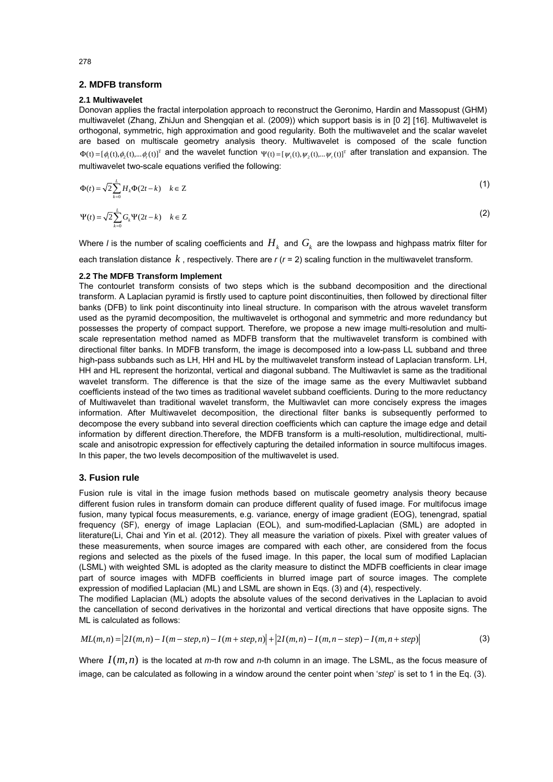#### **2. MDFB transform**

#### **2.1 Multiwavelet**

Donovan applies the fractal interpolation approach to reconstruct the Geronimo, Hardin and Massopust (GHM) multiwavelet (Zhang, ZhiJun and Shengqian et al. (2009)) which support basis is in [0 2] [16]. Multiwavelet is orthogonal, symmetric, high approximation and good regularity. Both the multiwavelet and the scalar wavelet are based on multiscale geometry analysis theory. Multiwavelet is composed of the scale function  $\Phi(t) = [\phi_1(t), \phi_2(t), ..., \phi_r(t)]^T$  and the wavelet function  $\Psi(t) = [\psi_1(t), \psi_2(t), ..., \psi_r(t)]^T$  after translation and expansion. The multiwavelet two-scale equations verified the following:

$$
\Phi(t) = \sqrt{2} \sum_{k=0}^{L} H_k \Phi(2t - k) \quad k \in \mathbb{Z}
$$
\n
$$
\Psi(t) = \sqrt{2} \sum_{k=0}^{L} G_k \Psi(2t - k) \quad k \in \mathbb{Z}
$$
\n(2)

Where *l* is the number of scaling coefficients and  $H_k$  and  $G_k$  are the lowpass and highpass matrix filter for each translation distance *k* , respectively. There are *r* (*r* = 2) scaling function in the multiwavelet transform.

#### **2.2 The MDFB Transform Implement**

The contourlet transform consists of two steps which is the subband decomposition and the directional transform. A Laplacian pyramid is firstly used to capture point discontinuities, then followed by directional filter banks (DFB) to link point discontinuity into lineal structure. In comparison with the atrous wavelet transform used as the pyramid decomposition, the multiwavelet is orthogonal and symmetric and more redundancy but possesses the property of compact support. Therefore, we propose a new image multi-resolution and multiscale representation method named as MDFB transform that the multiwavelet transform is combined with directional filter banks. In MDFB transform, the image is decomposed into a low-pass LL subband and three high-pass subbands such as LH, HH and HL by the multiwavelet transform instead of Laplacian transform. LH, HH and HL represent the horizontal, vertical and diagonal subband. The Multiwavlet is same as the traditional wavelet transform. The difference is that the size of the image same as the every Multiwavlet subband coefficients instead of the two times as traditional wavelet subband coefficients. During to the more reductancy of Multiwavelet than traditional wavelet transform, the Multiwavlet can more concisely express the images information. After Multiwavelet decomposition, the directional filter banks is subsequently performed to decompose the every subband into several direction coefficients which can capture the image edge and detail information by different direction.Therefore, the MDFB transform is a multi-resolution, multidirectional, multiscale and anisotropic expression for effectively capturing the detailed information in source multifocus images. In this paper, the two levels decomposition of the multiwavelet is used.

#### **3. Fusion rule**

Fusion rule is vital in the image fusion methods based on mutiscale geometry analysis theory because different fusion rules in transform domain can produce different quality of fused image. For multifocus image fusion, many typical focus measurements, e.g. variance, energy of image gradient (EOG), tenengrad, spatial frequency (SF), energy of image Laplacian (EOL), and sum-modified-Laplacian (SML) are adopted in literature(Li, Chai and Yin et al. (2012). They all measure the variation of pixels. Pixel with greater values of these measurements, when source images are compared with each other, are considered from the focus regions and selected as the pixels of the fused image. In this paper, the local sum of modified Laplacian (LSML) with weighted SML is adopted as the clarity measure to distinct the MDFB coefficients in clear image part of source images with MDFB coefficients in blurred image part of source images. The complete expression of modified Laplacian (ML) and LSML are shown in Eqs. (3) and (4), respectively.

The modified Laplacian (ML) adopts the absolute values of the second derivatives in the Laplacian to avoid the cancellation of second derivatives in the horizontal and vertical directions that have opposite signs. The ML is calculated as follows:

$$
ML(m,n) = |2I(m,n) - I(m-step,n) - I(m+step,n)| + |2I(m,n) - I(m,n-step) - I(m,n+step)|
$$
\n(3)

Where  $I(m, n)$  is the located at *m*-th row and *n*-th column in an image. The LSML, as the focus measure of image, can be calculated as following in a window around the center point when '*step*' is set to 1 in the Eq. (3).

278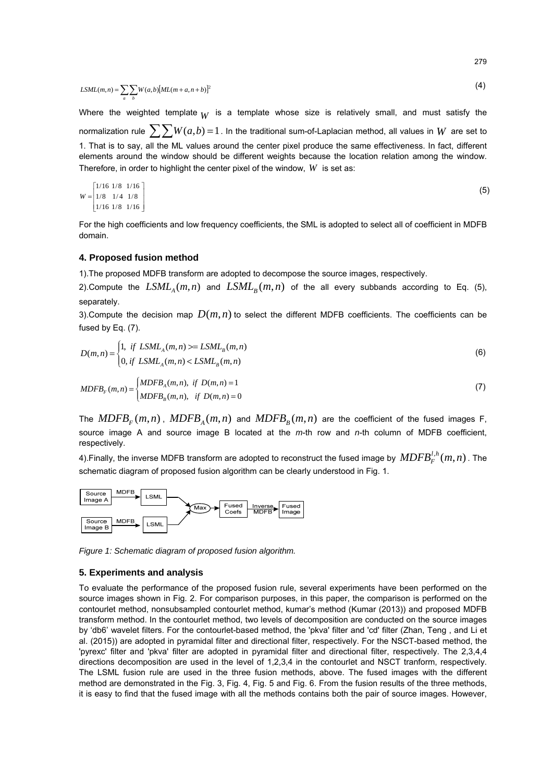$$
LSML(m,n) = \sum_{a} \sum_{b} W(a,b)[ML(m+a,n+b)]^2
$$
\n(4)

Where the weighted template  $_W$  is a template whose size is relatively small, and must satisfy the normalization rule  $\sum_{n} W(a,b) = 1$ . In the traditional sum-of-Laplacian method, all values in *W* are set to 1. That is to say, all the ML values around the center pixel produce the same effectiveness. In fact, different elements around the window should be different weights because the location relation among the window. Therefore, in order to highlight the center pixel of the window, *W* is set as:

$$
W = \begin{bmatrix} 1/16 & 1/8 & 1/16 \\ 1/8 & 1/4 & 1/8 \\ 1/16 & 1/8 & 1/16 \end{bmatrix}
$$
 (5)

For the high coefficients and low frequency coefficients, the SML is adopted to select all of coefficient in MDFB domain.

#### **4. Proposed fusion method**

1).The proposed MDFB transform are adopted to decompose the source images, respectively.

2).Compute the  $LSML<sub>A</sub>(m,n)$  and  $LSML<sub>B</sub>(m,n)$  of the all every subbands according to Eq. (5), separately.

3).Compute the decision map  $D(m,n)$  to select the different MDFB coefficients. The coefficients can be fused by Eq. (7).

$$
D(m,n) = \begin{cases} 1, & \text{if } LSML_A(m,n) \ge LSML_B(m,n) \\ 0, & \text{if } LSML_A(m,n) < LSML_B(m,n) \end{cases} \tag{6}
$$

$$
MDFBF(m,n) =\begin{cases} MDFBA(m,n), & \text{if } D(m,n) = 1\\ MDFBB(m,n), & \text{if } D(m,n) = 0 \end{cases}
$$
\n(7)

The  $MDFB_F(m, n)$ ,  $MDFB_A(m, n)$  and  $MDFB_R(m, n)$  are the coefficient of the fused images F, source image A and source image B located at the *m*-th row and *n*-th column of MDFB coefficient, respectively.

4).Finally, the inverse MDFB transform are adopted to reconstruct the fused image by  $\, MDFB^{l,h}_F(m,n)$  . The schematic diagram of proposed fusion algorithm can be clearly understood in Fig. 1.



*Figure 1: Schematic diagram of proposed fusion algorithm.* 

#### **5. Experiments and analysis**

To evaluate the performance of the proposed fusion rule, several experiments have been performed on the source images shown in Fig. 2. For comparison purposes, in this paper, the comparison is performed on the contourlet method, nonsubsampled contourlet method, kumar's method (Kumar (2013)) and proposed MDFB transform method. In the contourlet method, two levels of decomposition are conducted on the source images by 'db6' wavelet filters. For the contourlet-based method, the 'pkva' filter and 'cd' filter (Zhan, Teng , and Li et al. (2015)) are adopted in pyramidal filter and directional filter, respectively. For the NSCT-based method, the 'pyrexc' filter and 'pkva' filter are adopted in pyramidal filter and directional filter, respectively. The 2,3,4,4 directions decomposition are used in the level of 1,2,3,4 in the contourlet and NSCT tranform, respectively. The LSML fusion rule are used in the three fusion methods, above. The fused images with the different method are demonstrated in the Fig. 3, Fig. 4, Fig. 5 and Fig. 6. From the fusion results of the three methods, it is easy to find that the fused image with all the methods contains both the pair of source images. However,

279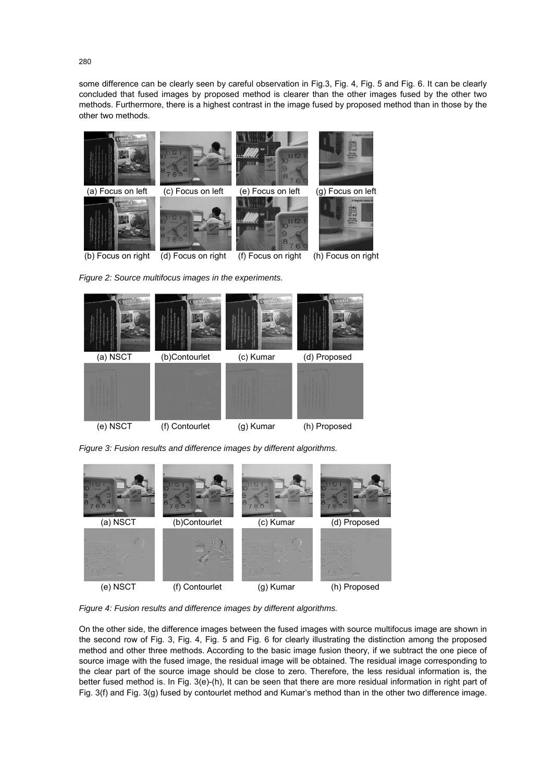some difference can be clearly seen by careful observation in Fig.3, Fig. 4, Fig. 5 and Fig. 6. It can be clearly concluded that fused images by proposed method is clearer than the other images fused by the other two methods. Furthermore, there is a highest contrast in the image fused by proposed method than in those by the other two methods.



*Figure 2: Source multifocus images in the experiments.* 



*Figure 3: Fusion results and difference images by different algorithms.* 



*Figure 4: Fusion results and difference images by different algorithms.* 

On the other side, the difference images between the fused images with source multifocus image are shown in the second row of Fig. 3, Fig. 4, Fig. 5 and Fig. 6 for clearly illustrating the distinction among the proposed method and other three methods. According to the basic image fusion theory, if we subtract the one piece of source image with the fused image, the residual image will be obtained. The residual image corresponding to the clear part of the source image should be close to zero. Therefore, the less residual information is, the better fused method is. In Fig. 3(e)-(h), It can be seen that there are more residual information in right part of Fig. 3(f) and Fig. 3(g) fused by contourlet method and Kumar's method than in the other two difference image.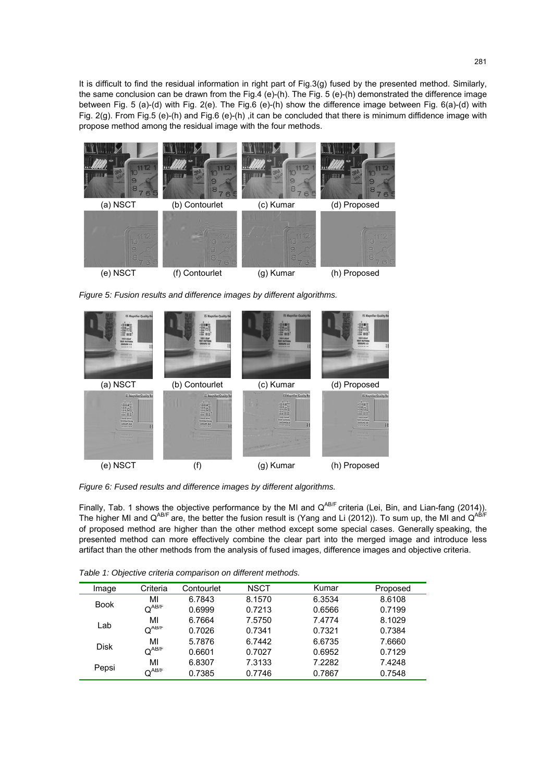It is difficult to find the residual information in right part of Fig.3(g) fused by the presented method. Similarly, the same conclusion can be drawn from the Fig.4 (e)-(h). The Fig. 5 (e)-(h) demonstrated the difference image between Fig. 5 (a)-(d) with Fig. 2(e). The Fig.6 (e)-(h) show the difference image between Fig. 6(a)-(d) with Fig. 2(g). From Fig.5 (e)-(h) and Fig.6 (e)-(h) ,it can be concluded that there is minimum diffidence image with propose method among the residual image with the four methods.



*Figure 5: Fusion results and difference images by different algorithms.* 



*Figure 6: Fused results and difference images by different algorithms.* 

Finally, Tab. 1 shows the objective performance by the MI and  $Q^{AB/F}$  criteria (Lei, Bin, and Lian-fang (2014)). The higher MI and  $Q^{AB/F}$  are, the better the fusion result is (Yang and Li (2012)). To sum up, the MI and  $Q^{AB/F}$ of proposed method are higher than the other method except some special cases. Generally speaking, the presented method can more effectively combine the clear part into the merged image and introduce less artifact than the other methods from the analysis of fused images, difference images and objective criteria.

*Table 1: Objective criteria comparison on different methods.* 

| Image       | Criteria                              | Contourlet | <b>NSCT</b> | Kumar  | Proposed |
|-------------|---------------------------------------|------------|-------------|--------|----------|
| <b>Book</b> | MI                                    | 6.7843     | 8.1570      | 6.3534 | 8.6108   |
|             | $Q^{AB/F}$                            | 0.6999     | 0.7213      | 0.6566 | 0.7199   |
| Lab         | MI                                    | 6.7664     | 7.5750      | 7.4774 | 8.1029   |
|             | $Q^{AB/F}$                            | 0.7026     | 0.7341      | 0.7321 | 0.7384   |
| <b>Disk</b> | MI                                    | 5.7876     | 6.7442      | 6.6735 | 7.6660   |
|             | $Q^{AB/F}$                            | 0.6601     | 0.7027      | 0.6952 | 0.7129   |
| Pepsi       | MI                                    | 6.8307     | 7.3133      | 7.2282 | 7.4248   |
|             | $\textsf{Q}^{\mathsf{AB}/\mathsf{F}}$ | 0.7385     | 0.7746      | 0.7867 | 0.7548   |